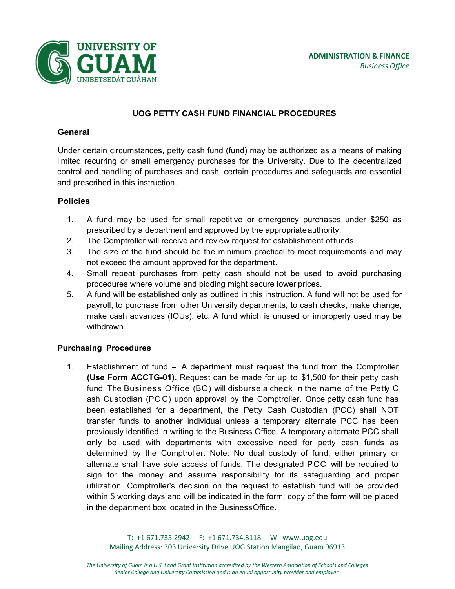

# **UOG PETTY CASH FUND FINANCIAL PROCEDURES**

### **General**

Under certain circumstances, petty cash fund (fund) may be authorized as a means of making limited recurring or small emergency purchases for the University. Due to the decentralized control and handling of purchases and cash, certain procedures and safeguards are essential and prescribed in this instruction.

### **Policies**

- 1. A fund may be used for small repetitive or emergency purchases under \$250 as prescribed by a department and approved by the appropriate authority.
- 2. The Comptroller will receive and review request for establishment of funds.
- 3. The size of the fund should be the minimum practical to meet requirements and may not exceed the amount approved for the department.
- 4. Small repeat purchases from petty cash should not be used to avoid purchasing procedures where volume and bidding might secure lower prices.
- 5. A fund will be established only as outlined in this instruction. A fund will not be used for payroll, to purchase from other University departments, to cash checks, make change, make cash advances (IOUs), etc. A fund which is unused or improperly used may be withdrawn.

### **Purchasing Procedures**

1. Establishment of fund - A department must request the fund from the Comptroller **(Use Form ACCTG-01).** Request can be made for up to \$1,500 for their petty cash fund. The Business Office (BO) will disburse a check in the name of the Petty C ash Custodian (PC C) upon approval by the Comptroller. Once petty cash fund has been established for a department, the Petty Cash Custodian (PCC) shall NOT transfer funds to another individual unless a temporary alternate PCC has been previously identified in writing to the Business Office. A temporary alternate PCC shall only be used with departments with excessive need for petty cash funds as determined by the Comptroller. Note: No dual custody of fund, either primary or alternate shall have sole access of funds. The designated PCC will be required to sign for the money and assume responsibility for its safeguarding and proper utilization. Comptroller's decision on the request to establish fund will be provided within 5 working days and will be indicated in the form; copy of the form will be placed in the department box located in the Business Office.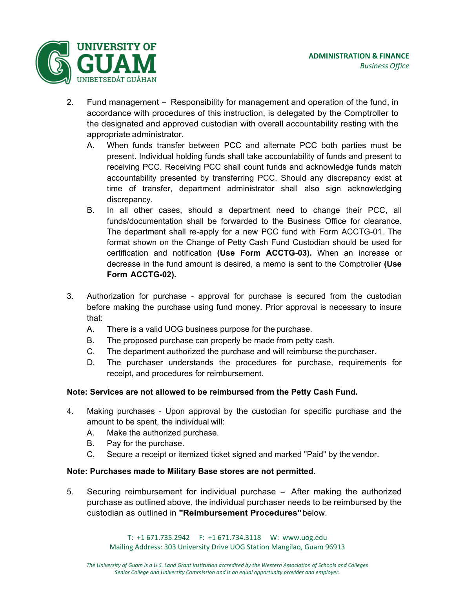

- 2. Fund management Responsibility for management and operation of the fund, in accordance with procedures of this instruction, is delegated by the Comptroller to the designated and approved custodian with overall accountability resting with the appropriate administrator.
	- A. When funds transfer between PCC and alternate PCC both parties must be present. Individual holding funds shall take accountability of funds and present to receiving PCC. Receiving PCC shall count funds and acknowledge funds match accountability presented by transferring PCC. Should any discrepancy exist at time of transfer, department administrator shall also sign acknowledging discrepancy.
	- B. In all other cases, should a department need to change their PCC, all funds/documentation shall be forwarded to the Business Office for clearance. The department shall re-apply for a new PCC fund with Form ACCTG-01. The format shown on the Change of Petty Cash Fund Custodian should be used for certification and notification **(Use Form ACCTG-03).** When an increase or decrease in the fund amount is desired, a memo is sent to the Comptroller **(Use Form ACCTG-02).**
- 3. Authorization for purchase approval for purchase is secured from the custodian before making the purchase using fund money. Prior approval is necessary to insure that:
	- A. There is a valid UOG business purpose for the purchase.
	- B. The proposed purchase can properly be made from petty cash.
	- C. The department authorized the purchase and will reimburse the purchaser.
	- D. The purchaser understands the procedures for purchase, requirements for receipt, and procedures for reimbursement.

# **Note: Services are not allowed to be reimbursed from the Petty Cash Fund.**

- 4. Making purchases Upon approval by the custodian for specific purchase and the amount to be spent, the individual will:
	- A. Make the authorized purchase.
	- B. Pay for the purchase.
	- C. Secure a receipt or itemized ticket signed and marked "Paid" by the vendor.

# **Note: Purchases made to Military Base stores are not permitted.**

5. Securing reimbursement for individual purchase – After making the authorized purchase as outlined above, the individual purchaser needs to be reimbursed by the custodian as outlined in **"Reimbursement Procedures"** below.

> T: +1 671.735.2942 F: +1 671.734.3118 W: www.uog.edu Mailing Address: 303 University Drive UOG Station Mangilao, Guam 96913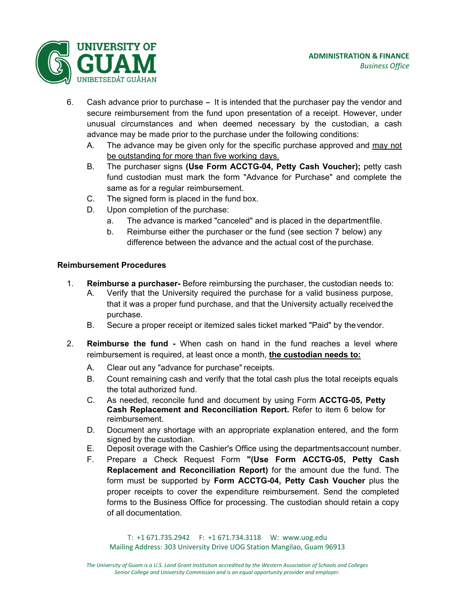

- 6. Cash advance prior to purchase It is intended that the purchaser pay the vendor and secure reimbursement from the fund upon presentation of a receipt. However, under unusual circumstances and when deemed necessary by the custodian, a cash advance may be made prior to the purchase under the following conditions:
	- A. The advance may be given only for the specific purchase approved and may not be outstanding for more than five working days.
	- B. The purchaser signs **(Use Form ACCTG-04, Petty Cash Voucher);** petty cash fund custodian must mark the form "Advance for Purchase" and complete the same as for a regular reimbursement.
	- C. The signed form is placed in the fund box.
	- D. Upon completion of the purchase:
		- a. The advance is marked "canceled" and is placed in the department file.
		- b. Reimburse either the purchaser or the fund (see section 7 below) any difference between the advance and the actual cost of the purchase.

## **Reimbursement Procedures**

- 1. **Reimburse a purchaser-** Before reimbursing the purchaser, the custodian needs to:
	- A. Verify that the University required the purchase for a valid business purpose, that it was a proper fund purchase, and that the University actually received the purchase.
	- B. Secure a proper receipt or itemized sales ticket marked "Paid" by the vendor.
- 2. **Reimburse the fund** When cash on hand in the fund reaches a level where reimbursement is required, at least once a month, **the custodian needs to:**
	- A. Clear out any "advance for purchase" receipts.
	- B. Count remaining cash and verify that the total cash plus the total receipts equals the total authorized fund.
	- C. As needed, reconcile fund and document by using Form **ACCTG-05, Petty Cash Replacement and Reconciliation Report.** Refer to item 6 below for reimbursement.
	- D. Document any shortage with an appropriate explanation entered, and the form signed by the custodian.
	- E. Deposit overage with the Cashier's Office using the departments account number.
	- F. Prepare a Check Request Form **"(Use Form ACCTG-05, Petty Cash Replacement and Reconciliation Report)** for the amount due the fund. The form must be supported by **Form ACCTG-04, Petty Cash Voucher** plus the proper receipts to cover the expenditure reimbursement. Send the completed forms to the Business Office for processing. The custodian should retain a copy of all documentation.